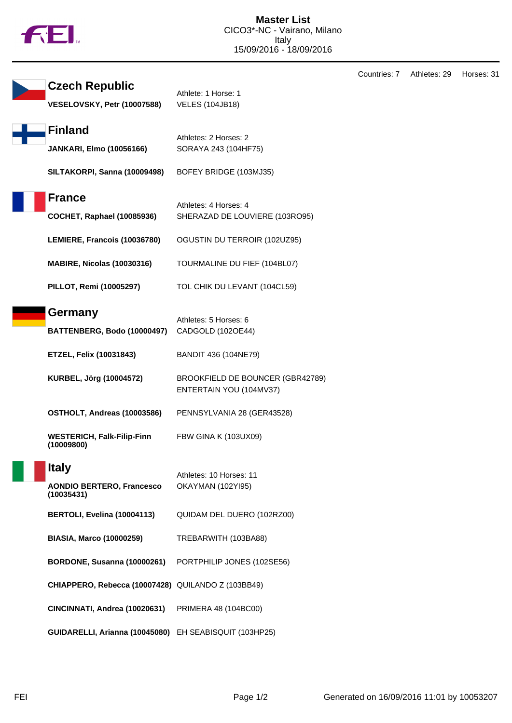

| <b>Czech Republic</b><br>VESELOVSKY, Petr (10007588)           | Athlete: 1 Horse: 1<br><b>VELES (104JB18)</b>               |
|----------------------------------------------------------------|-------------------------------------------------------------|
| <b>Finland</b><br><b>JANKARI, Elmo (10056166)</b>              | Athletes: 2 Horses: 2<br>SORAYA 243 (104HF75)               |
| SILTAKORPI, Sanna (10009498)                                   | BOFEY BRIDGE (103MJ35)                                      |
| <b>France</b><br><b>COCHET, Raphael (10085936)</b>             | Athletes: 4 Horses: 4<br>SHERAZAD DE LOUVIERE (103RO95)     |
| LEMIERE, Francois (10036780)                                   | OGUSTIN DU TERROIR (102UZ95)                                |
| <b>MABIRE, Nicolas (10030316)</b>                              | TOURMALINE DU FIEF (104BL07)                                |
| PILLOT, Remi (10005297)                                        | TOL CHIK DU LEVANT (104CL59)                                |
| Germany<br>BATTENBERG, Bodo (10000497)                         | Athletes: 5 Horses: 6<br>CADGOLD (102OE44)                  |
| <b>ETZEL, Felix (10031843)</b>                                 | BANDIT 436 (104NE79)                                        |
| KURBEL, Jörg (10004572)                                        | BROOKFIELD DE BOUNCER (GBR42789)<br>ENTERTAIN YOU (104MV37) |
| OSTHOLT, Andreas (10003586)                                    | PENNSYLVANIA 28 (GER43528)                                  |
| <b>WESTERICH, Falk-Filip-Finn</b><br>(10009800)                | <b>FBW GINA K (103UX09)</b>                                 |
| <b>Italy</b><br><b>AONDIO BERTERO, Francesco</b><br>(10035431) | Athletes: 10 Horses: 11<br>OKAYMAN (102YI95)                |
| BERTOLI, Evelina (10004113)                                    | QUIDAM DEL DUERO (102RZ00)                                  |
| <b>BIASIA, Marco (10000259)</b>                                | TREBARWITH (103BA88)                                        |
| BORDONE, Susanna (10000261)                                    | PORTPHILIP JONES (102SE56)                                  |
| CHIAPPERO, Rebecca (10007428) QUILANDO Z (103BB49)             |                                                             |
| CINCINNATI, Andrea (10020631)                                  | PRIMERA 48 (104BC00)                                        |
| GUIDARELLI, Arianna (10045080) EH SEABISQUIT (103HP25)         |                                                             |

Countries: 7 Athletes: 29 Horses: 31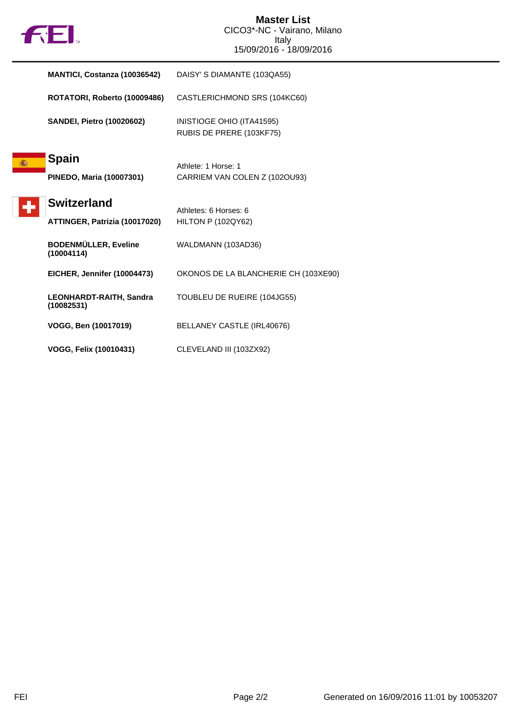

|   | MANTICI, Costanza (10036542)                        | DAISY' S DIAMANTE (103QA55)                           |
|---|-----------------------------------------------------|-------------------------------------------------------|
|   | ROTATORI, Roberto (10009486)                        | CASTLERICHMOND SRS (104KC60)                          |
|   | <b>SANDEI, Pietro (10020602)</b>                    | INISTIOGE OHIO (ITA41595)<br>RUBIS DE PRERE (103KF75) |
| 痛 | <b>Spain</b><br>PINEDO, Maria (10007301)            | Athlete: 1 Horse: 1<br>CARRIEM VAN COLEN Z (1020U93)  |
|   | <b>Switzerland</b><br>ATTINGER, Patrizia (10017020) | Athletes: 6 Horses: 6<br><b>HILTON P (102QY62)</b>    |
|   | <b>BODENMÜLLER, Eveline</b><br>(10004114)           | WALDMANN (103AD36)                                    |
|   | EICHER, Jennifer (10004473)                         | OKONOS DE LA BLANCHERIE CH (103XE90)                  |
|   | LEONHARDT-RAITH, Sandra<br>(10082531)               | TOUBLEU DE RUEIRE (104JG55)                           |
|   | VOGG, Ben (10017019)                                | BELLANEY CASTLE (IRL40676)                            |
|   | VOGG, Felix (10010431)                              | CLEVELAND III (103ZX92)                               |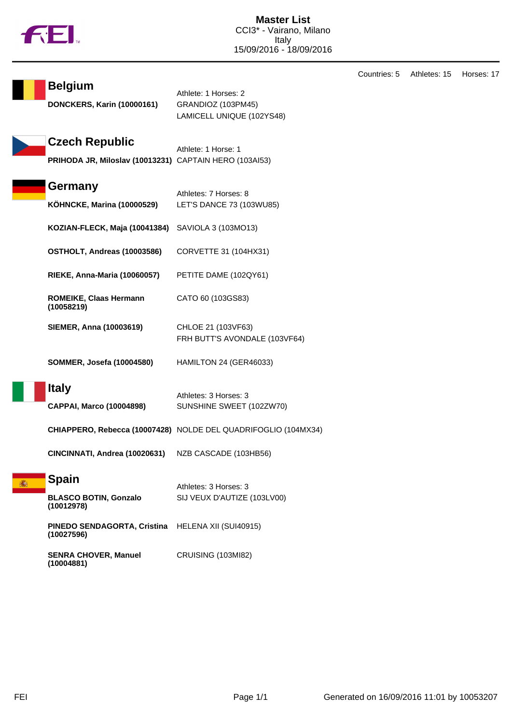

| <b>Belgium</b><br><b>DONCKERS, Karin (10000161)</b>                             | Athlete: 1 Horses: 2<br>GRANDIOZ (103PM45)<br>LAMICELL UNIQUE (102YS48) |
|---------------------------------------------------------------------------------|-------------------------------------------------------------------------|
| <b>Czech Republic</b><br>PRIHODA JR, Miloslav (10013231) CAPTAIN HERO (103AI53) | Athlete: 1 Horse: 1                                                     |
| <b>Germany</b><br><b>KÖHNCKE, Marina (10000529)</b>                             | Athletes: 7 Horses: 8<br>LET'S DANCE 73 (103WU85)                       |
| KOZIAN-FLECK, Maja (10041384)                                                   | SAVIOLA 3 (103MO13)                                                     |
| OSTHOLT, Andreas (10003586)                                                     | CORVETTE 31 (104HX31)                                                   |
| <b>RIEKE, Anna-Maria (10060057)</b>                                             | PETITE DAME (102QY61)                                                   |
| ROMEIKE, Claas Hermann<br>(10058219)                                            | CATO 60 (103GS83)                                                       |
| <b>SIEMER, Anna (10003619)</b>                                                  | CHLOE 21 (103VF63)<br>FRH BUTT'S AVONDALE (103VF64)                     |
| <b>SOMMER, Josefa (10004580)</b>                                                | HAMILTON 24 (GER46033)                                                  |
| <b>Italy</b><br><b>CAPPAI, Marco (10004898)</b>                                 | Athletes: 3 Horses: 3<br>SUNSHINE SWEET (102ZW70)                       |
|                                                                                 | CHIAPPERO, Rebecca (10007428) NOLDE DEL QUADRIFOGLIO (104MX34)          |
| CINCINNATI, Andrea (10020631)                                                   | NZB CASCADE (103HB56)                                                   |
| <b>Spain</b><br><b>BLASCO BOTIN, Gonzalo</b><br>(10012978)                      | Athletes: 3 Horses: 3<br>SIJ VEUX D'AUTIZE (103LV00)                    |
| PINEDO SENDAGORTA, Cristina<br>(10027596)                                       | HELENA XII (SUI40915)                                                   |
| <b>SENRA CHOVER, Manuel</b><br>(10004881)                                       | <b>CRUISING (103MI82)</b>                                               |

Countries: 5 Athletes: 15 Horses: 17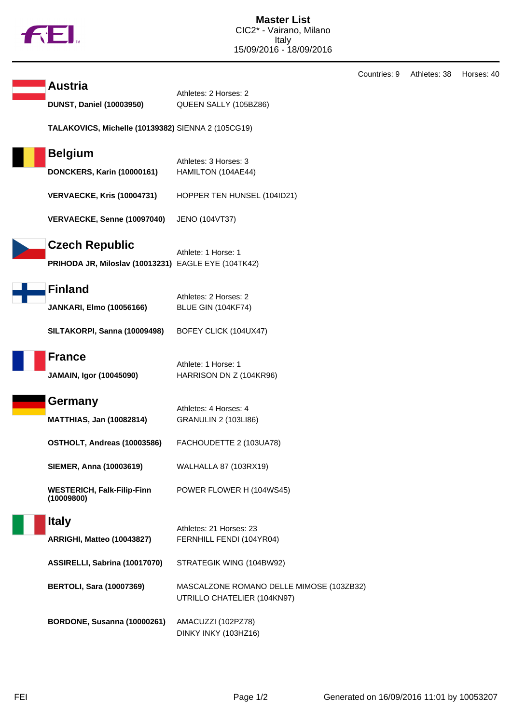|  |  | N |
|--|--|---|
|  |  |   |

|                                                     |                                                     | Countries: 9 | Athletes: 38 | Horses: 40 |
|-----------------------------------------------------|-----------------------------------------------------|--------------|--------------|------------|
| <b>Austria</b>                                      | Athletes: 2 Horses: 2                               |              |              |            |
| <b>DUNST, Daniel (10003950)</b>                     | QUEEN SALLY (105BZ86)                               |              |              |            |
| TALAKOVICS, Michelle (10139382) SIENNA 2 (105CG19)  |                                                     |              |              |            |
| <b>Belgium</b>                                      | Athletes: 3 Horses: 3                               |              |              |            |
| <b>DONCKERS, Karin (10000161)</b>                   | HAMILTON (104AE44)                                  |              |              |            |
| <b>VERVAECKE, Kris (10004731)</b>                   | HOPPER TEN HUNSEL (104ID21)                         |              |              |            |
| VERVAECKE, Senne (10097040)                         | JENO (104VT37)                                      |              |              |            |
| <b>Czech Republic</b>                               |                                                     |              |              |            |
| PRIHODA JR, Miloslav (10013231) EAGLE EYE (104TK42) | Athlete: 1 Horse: 1                                 |              |              |            |
|                                                     |                                                     |              |              |            |
| <b>Finland</b>                                      | Athletes: 2 Horses: 2                               |              |              |            |
| <b>JANKARI, Elmo (10056166)</b>                     | BLUE GIN (104KF74)                                  |              |              |            |
| SILTAKORPI, Sanna (10009498)                        | BOFEY CLICK (104UX47)                               |              |              |            |
| <b>France</b>                                       |                                                     |              |              |            |
| <b>JAMAIN, Igor (10045090)</b>                      | Athlete: 1 Horse: 1<br>HARRISON DN Z (104KR96)      |              |              |            |
|                                                     |                                                     |              |              |            |
| Germany                                             | Athletes: 4 Horses: 4                               |              |              |            |
| <b>MATTHIAS, Jan (10082814)</b>                     | <b>GRANULIN 2 (103LI86)</b>                         |              |              |            |
| OSTHOLT, Andreas (10003586)                         | FACHOUDETTE 2 (103UA78)                             |              |              |            |
| <b>SIEMER, Anna (10003619)</b>                      | WALHALLA 87 (103RX19)                               |              |              |            |
| <b>WESTERICH, Falk-Filip-Finn</b><br>(10009800)     | POWER FLOWER H (104WS45)                            |              |              |            |
| <b>Italy</b>                                        |                                                     |              |              |            |
| ARRIGHI, Matteo (10043827)                          | Athletes: 21 Horses: 23<br>FERNHILL FENDI (104YR04) |              |              |            |
|                                                     |                                                     |              |              |            |
| ASSIRELLI, Sabrina (10017070)                       | STRATEGIK WING (104BW92)                            |              |              |            |
| <b>BERTOLI, Sara (10007369)</b>                     | MASCALZONE ROMANO DELLE MIMOSE (103ZB32)            |              |              |            |
|                                                     | UTRILLO CHATELIER (104KN97)                         |              |              |            |
| BORDONE, Susanna (10000261)                         | AMACUZZI (102PZ78)                                  |              |              |            |
|                                                     | DINKY INKY (103HZ16)                                |              |              |            |